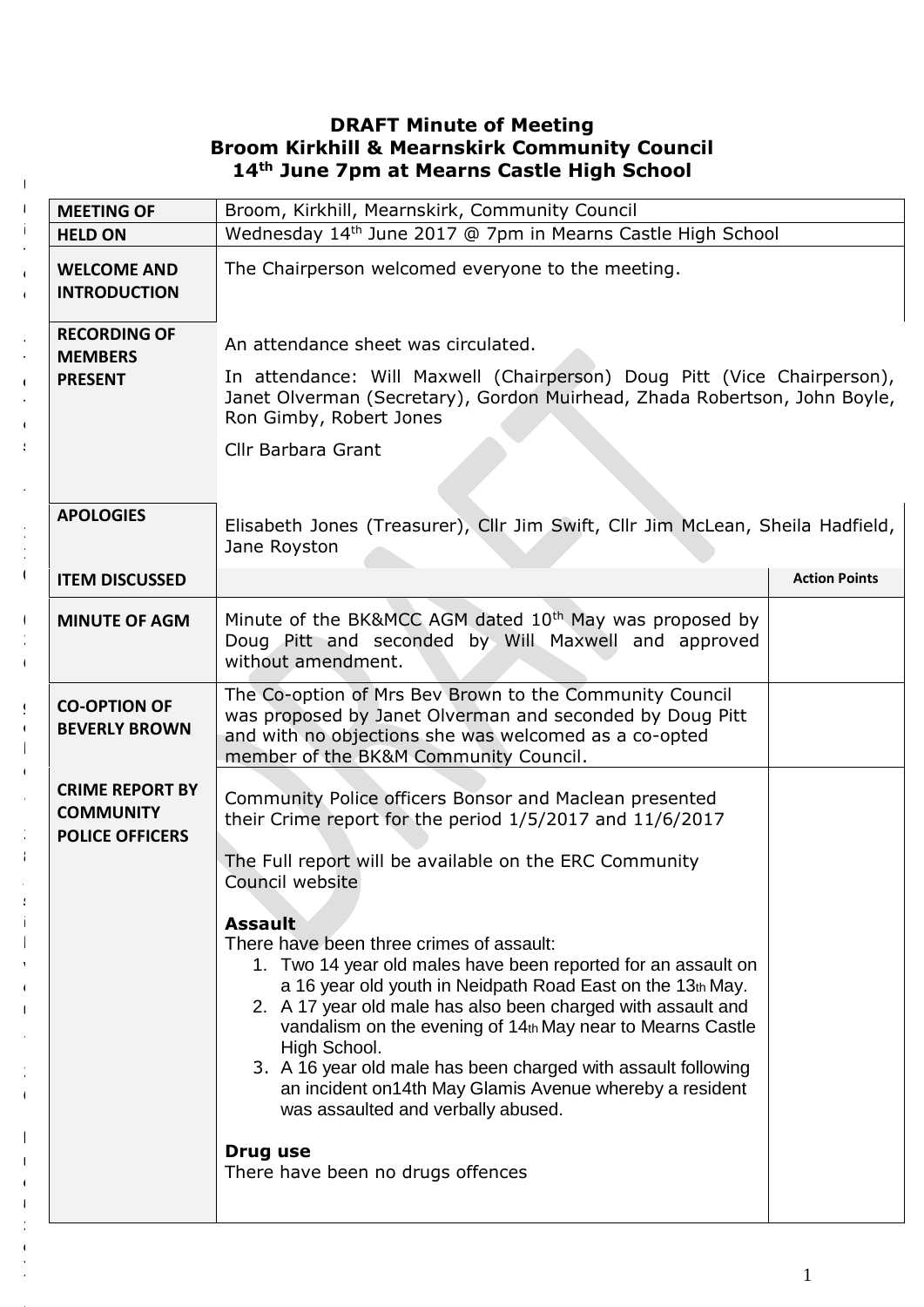## **DRAFT Minute of Meeting Broom Kirkhill & Mearnskirk Community Council 14th June 7pm at Mearns Castle High School**

| <b>MEETING OF</b>                                                    | Broom, Kirkhill, Mearnskirk, Community Council                                                                                                                                                                                                                                                                                                                                                                                                                                                                                                                                                                                                                                                                                                                |                      |
|----------------------------------------------------------------------|---------------------------------------------------------------------------------------------------------------------------------------------------------------------------------------------------------------------------------------------------------------------------------------------------------------------------------------------------------------------------------------------------------------------------------------------------------------------------------------------------------------------------------------------------------------------------------------------------------------------------------------------------------------------------------------------------------------------------------------------------------------|----------------------|
| <b>HELD ON</b>                                                       | Wednesday 14th June 2017 @ 7pm in Mearns Castle High School                                                                                                                                                                                                                                                                                                                                                                                                                                                                                                                                                                                                                                                                                                   |                      |
| <b>WELCOME AND</b><br><b>INTRODUCTION</b>                            | The Chairperson welcomed everyone to the meeting.                                                                                                                                                                                                                                                                                                                                                                                                                                                                                                                                                                                                                                                                                                             |                      |
| <b>RECORDING OF</b><br><b>MEMBERS</b><br><b>PRESENT</b>              | An attendance sheet was circulated.<br>In attendance: Will Maxwell (Chairperson) Doug Pitt (Vice Chairperson),<br>Janet Olverman (Secretary), Gordon Muirhead, Zhada Robertson, John Boyle,<br>Ron Gimby, Robert Jones<br>Cllr Barbara Grant                                                                                                                                                                                                                                                                                                                                                                                                                                                                                                                  |                      |
| <b>APOLOGIES</b>                                                     | Elisabeth Jones (Treasurer), Cllr Jim Swift, Cllr Jim McLean, Sheila Hadfield,<br>Jane Royston                                                                                                                                                                                                                                                                                                                                                                                                                                                                                                                                                                                                                                                                |                      |
| <b>ITEM DISCUSSED</b>                                                |                                                                                                                                                                                                                                                                                                                                                                                                                                                                                                                                                                                                                                                                                                                                                               | <b>Action Points</b> |
| <b>MINUTE OF AGM</b>                                                 | Minute of the BK&MCC AGM dated 10 <sup>th</sup> May was proposed by<br>Doug Pitt and seconded by Will Maxwell and approved<br>without amendment.                                                                                                                                                                                                                                                                                                                                                                                                                                                                                                                                                                                                              |                      |
| <b>CO-OPTION OF</b><br><b>BEVERLY BROWN</b>                          | The Co-option of Mrs Bev Brown to the Community Council<br>was proposed by Janet Olverman and seconded by Doug Pitt<br>and with no objections she was welcomed as a co-opted<br>member of the BK&M Community Council.                                                                                                                                                                                                                                                                                                                                                                                                                                                                                                                                         |                      |
| <b>CRIME REPORT BY</b><br><b>COMMUNITY</b><br><b>POLICE OFFICERS</b> | Community Police officers Bonsor and Maclean presented<br>their Crime report for the period 1/5/2017 and 11/6/2017<br>The Full report will be available on the ERC Community<br>Council website<br><b>Assault</b><br>There have been three crimes of assault:<br>1. Two 14 year old males have been reported for an assault on<br>a 16 year old youth in Neidpath Road East on the 13th May.<br>2. A 17 year old male has also been charged with assault and<br>vandalism on the evening of 14th May near to Mearns Castle<br>High School.<br>3. A 16 year old male has been charged with assault following<br>an incident on14th May Glamis Avenue whereby a resident<br>was assaulted and verbally abused.<br>Drug use<br>There have been no drugs offences |                      |

U

*A*

e  $\frac{1}{2}$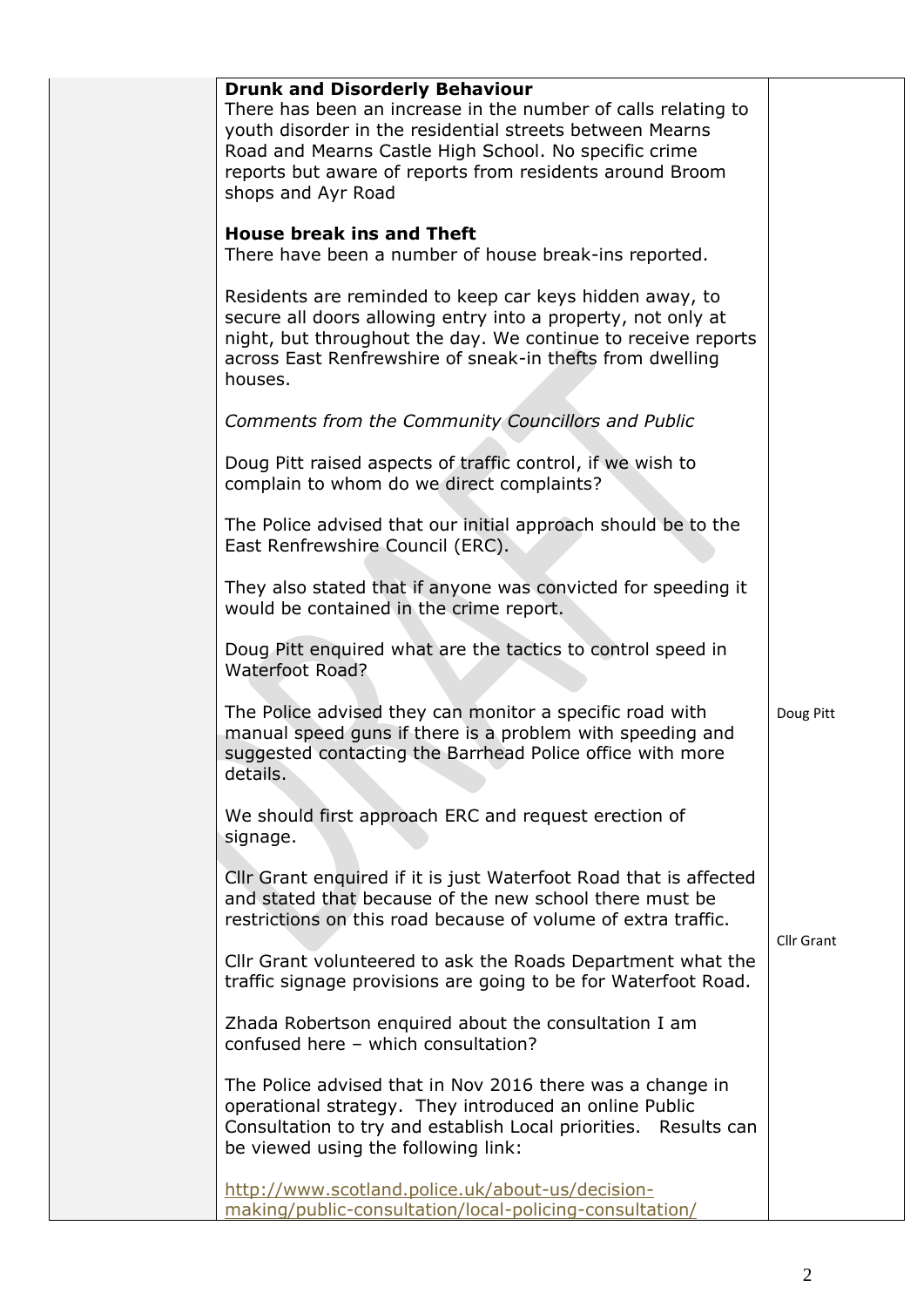| <b>Drunk and Disorderly Behaviour</b><br>There has been an increase in the number of calls relating to<br>youth disorder in the residential streets between Mearns<br>Road and Mearns Castle High School. No specific crime<br>reports but aware of reports from residents around Broom<br>shops and Ayr Road |            |
|---------------------------------------------------------------------------------------------------------------------------------------------------------------------------------------------------------------------------------------------------------------------------------------------------------------|------------|
| <b>House break ins and Theft</b><br>There have been a number of house break-ins reported.                                                                                                                                                                                                                     |            |
| Residents are reminded to keep car keys hidden away, to<br>secure all doors allowing entry into a property, not only at<br>night, but throughout the day. We continue to receive reports<br>across East Renfrewshire of sneak-in thefts from dwelling<br>houses.                                              |            |
| Comments from the Community Councillors and Public                                                                                                                                                                                                                                                            |            |
| Doug Pitt raised aspects of traffic control, if we wish to<br>complain to whom do we direct complaints?                                                                                                                                                                                                       |            |
| The Police advised that our initial approach should be to the<br>East Renfrewshire Council (ERC).                                                                                                                                                                                                             |            |
| They also stated that if anyone was convicted for speeding it<br>would be contained in the crime report.                                                                                                                                                                                                      |            |
| Doug Pitt enquired what are the tactics to control speed in<br><b>Waterfoot Road?</b>                                                                                                                                                                                                                         |            |
| The Police advised they can monitor a specific road with<br>manual speed guns if there is a problem with speeding and<br>suggested contacting the Barrhead Police office with more<br>details.                                                                                                                | Doug Pitt  |
| We should first approach ERC and request erection of<br>signage.                                                                                                                                                                                                                                              |            |
| Cllr Grant enquired if it is just Waterfoot Road that is affected<br>and stated that because of the new school there must be<br>restrictions on this road because of volume of extra traffic.                                                                                                                 |            |
| Cllr Grant volunteered to ask the Roads Department what the<br>traffic signage provisions are going to be for Waterfoot Road.                                                                                                                                                                                 | Cllr Grant |
| Zhada Robertson enquired about the consultation I am<br>confused here - which consultation?                                                                                                                                                                                                                   |            |
| The Police advised that in Nov 2016 there was a change in<br>operational strategy. They introduced an online Public<br>Consultation to try and establish Local priorities. Results can<br>be viewed using the following link:                                                                                 |            |
| http://www.scotland.police.uk/about-us/decision-<br>making/public-consultation/local-policing-consultation/                                                                                                                                                                                                   |            |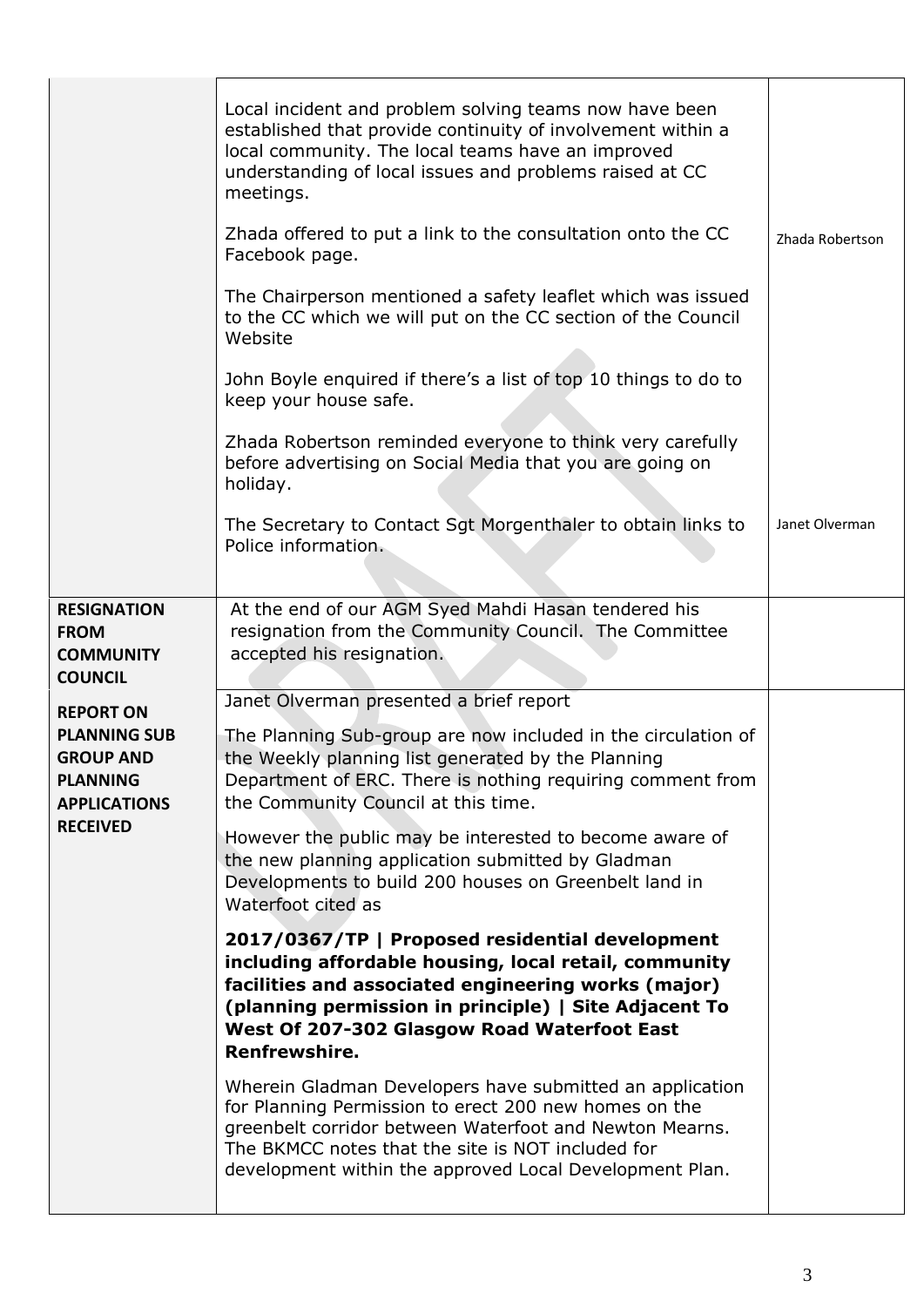|                                                                                                                          | Local incident and problem solving teams now have been<br>established that provide continuity of involvement within a<br>local community. The local teams have an improved<br>understanding of local issues and problems raised at CC<br>meetings.<br>Zhada offered to put a link to the consultation onto the CC<br>Facebook page.<br>The Chairperson mentioned a safety leaflet which was issued<br>to the CC which we will put on the CC section of the Council<br>Website<br>John Boyle enquired if there's a list of top 10 things to do to<br>keep your house safe.<br>Zhada Robertson reminded everyone to think very carefully<br>before advertising on Social Media that you are going on<br>holiday.<br>The Secretary to Contact Sgt Morgenthaler to obtain links to<br>Police information. | Zhada Robertson<br>Janet Olverman |
|--------------------------------------------------------------------------------------------------------------------------|-------------------------------------------------------------------------------------------------------------------------------------------------------------------------------------------------------------------------------------------------------------------------------------------------------------------------------------------------------------------------------------------------------------------------------------------------------------------------------------------------------------------------------------------------------------------------------------------------------------------------------------------------------------------------------------------------------------------------------------------------------------------------------------------------------|-----------------------------------|
| <b>RESIGNATION</b><br><b>FROM</b><br><b>COMMUNITY</b><br><b>COUNCIL</b>                                                  | At the end of our AGM Syed Mahdi Hasan tendered his<br>resignation from the Community Council. The Committee<br>accepted his resignation.                                                                                                                                                                                                                                                                                                                                                                                                                                                                                                                                                                                                                                                             |                                   |
| <b>REPORT ON</b><br><b>PLANNING SUB</b><br><b>GROUP AND</b><br><b>PLANNING</b><br><b>APPLICATIONS</b><br><b>RECEIVED</b> | Janet Olverman presented a brief report<br>The Planning Sub-group are now included in the circulation of<br>the Weekly planning list generated by the Planning<br>Department of ERC. There is nothing requiring comment from<br>the Community Council at this time.<br>However the public may be interested to become aware of<br>the new planning application submitted by Gladman<br>Developments to build 200 houses on Greenbelt land in<br>Waterfoot cited as<br>2017/0367/TP   Proposed residential development<br>including affordable housing, local retail, community<br>facilities and associated engineering works (major)<br>(planning permission in principle)   Site Adjacent To<br>West Of 207-302 Glasgow Road Waterfoot East<br>Renfrewshire.                                        |                                   |
|                                                                                                                          | Wherein Gladman Developers have submitted an application<br>for Planning Permission to erect 200 new homes on the<br>greenbelt corridor between Waterfoot and Newton Mearns.<br>The BKMCC notes that the site is NOT included for<br>development within the approved Local Development Plan.                                                                                                                                                                                                                                                                                                                                                                                                                                                                                                          |                                   |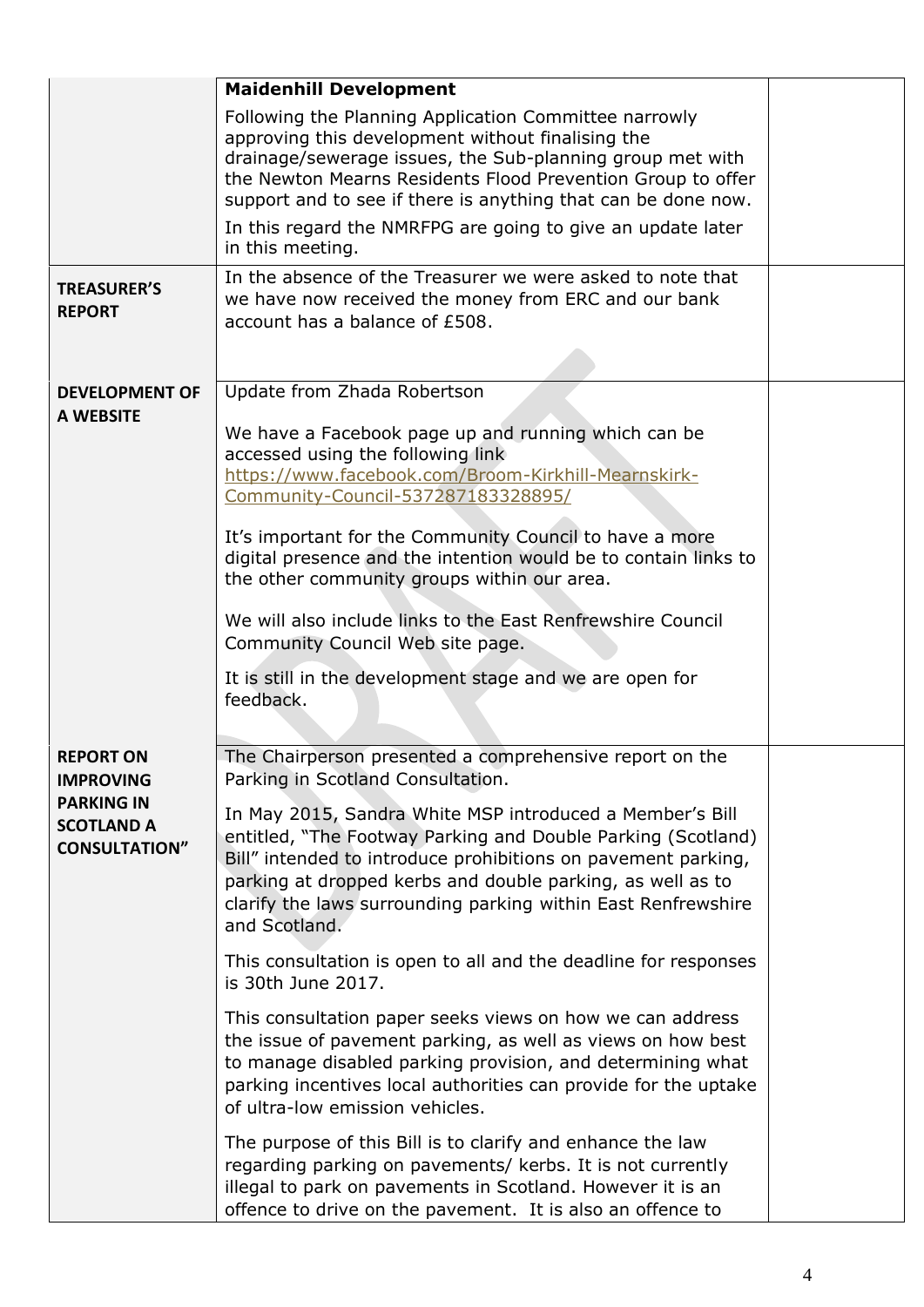|                                                                                                        | <b>Maidenhill Development</b>                                                                                                                                                                                                                                                                                                                                                                                                                                                                                                                                                                                                                                                                                                                                                                                                                                                                                                                                                                                                                                                              |  |
|--------------------------------------------------------------------------------------------------------|--------------------------------------------------------------------------------------------------------------------------------------------------------------------------------------------------------------------------------------------------------------------------------------------------------------------------------------------------------------------------------------------------------------------------------------------------------------------------------------------------------------------------------------------------------------------------------------------------------------------------------------------------------------------------------------------------------------------------------------------------------------------------------------------------------------------------------------------------------------------------------------------------------------------------------------------------------------------------------------------------------------------------------------------------------------------------------------------|--|
|                                                                                                        | Following the Planning Application Committee narrowly<br>approving this development without finalising the<br>drainage/sewerage issues, the Sub-planning group met with<br>the Newton Mearns Residents Flood Prevention Group to offer<br>support and to see if there is anything that can be done now.                                                                                                                                                                                                                                                                                                                                                                                                                                                                                                                                                                                                                                                                                                                                                                                    |  |
|                                                                                                        | In this regard the NMRFPG are going to give an update later<br>in this meeting.                                                                                                                                                                                                                                                                                                                                                                                                                                                                                                                                                                                                                                                                                                                                                                                                                                                                                                                                                                                                            |  |
| <b>TREASURER'S</b><br><b>REPORT</b>                                                                    | In the absence of the Treasurer we were asked to note that<br>we have now received the money from ERC and our bank<br>account has a balance of £508.                                                                                                                                                                                                                                                                                                                                                                                                                                                                                                                                                                                                                                                                                                                                                                                                                                                                                                                                       |  |
| <b>DEVELOPMENT OF</b><br><b>A WEBSITE</b>                                                              | Update from Zhada Robertson<br>We have a Facebook page up and running which can be<br>accessed using the following link<br>https://www.facebook.com/Broom-Kirkhill-Mearnskirk-<br>Community-Council-537287183328895/<br>It's important for the Community Council to have a more<br>digital presence and the intention would be to contain links to<br>the other community groups within our area.<br>We will also include links to the East Renfrewshire Council<br>Community Council Web site page.<br>It is still in the development stage and we are open for<br>feedback.                                                                                                                                                                                                                                                                                                                                                                                                                                                                                                              |  |
| <b>REPORT ON</b><br><b>IMPROVING</b><br><b>PARKING IN</b><br><b>SCOTLAND A</b><br><b>CONSULTATION"</b> | The Chairperson presented a comprehensive report on the<br>Parking in Scotland Consultation.<br>In May 2015, Sandra White MSP introduced a Member's Bill<br>entitled, "The Footway Parking and Double Parking (Scotland)<br>Bill" intended to introduce prohibitions on pavement parking,<br>parking at dropped kerbs and double parking, as well as to<br>clarify the laws surrounding parking within East Renfrewshire<br>and Scotland.<br>This consultation is open to all and the deadline for responses<br>is 30th June 2017.<br>This consultation paper seeks views on how we can address<br>the issue of pavement parking, as well as views on how best<br>to manage disabled parking provision, and determining what<br>parking incentives local authorities can provide for the uptake<br>of ultra-low emission vehicles.<br>The purpose of this Bill is to clarify and enhance the law<br>regarding parking on pavements/ kerbs. It is not currently<br>illegal to park on pavements in Scotland. However it is an<br>offence to drive on the pavement. It is also an offence to |  |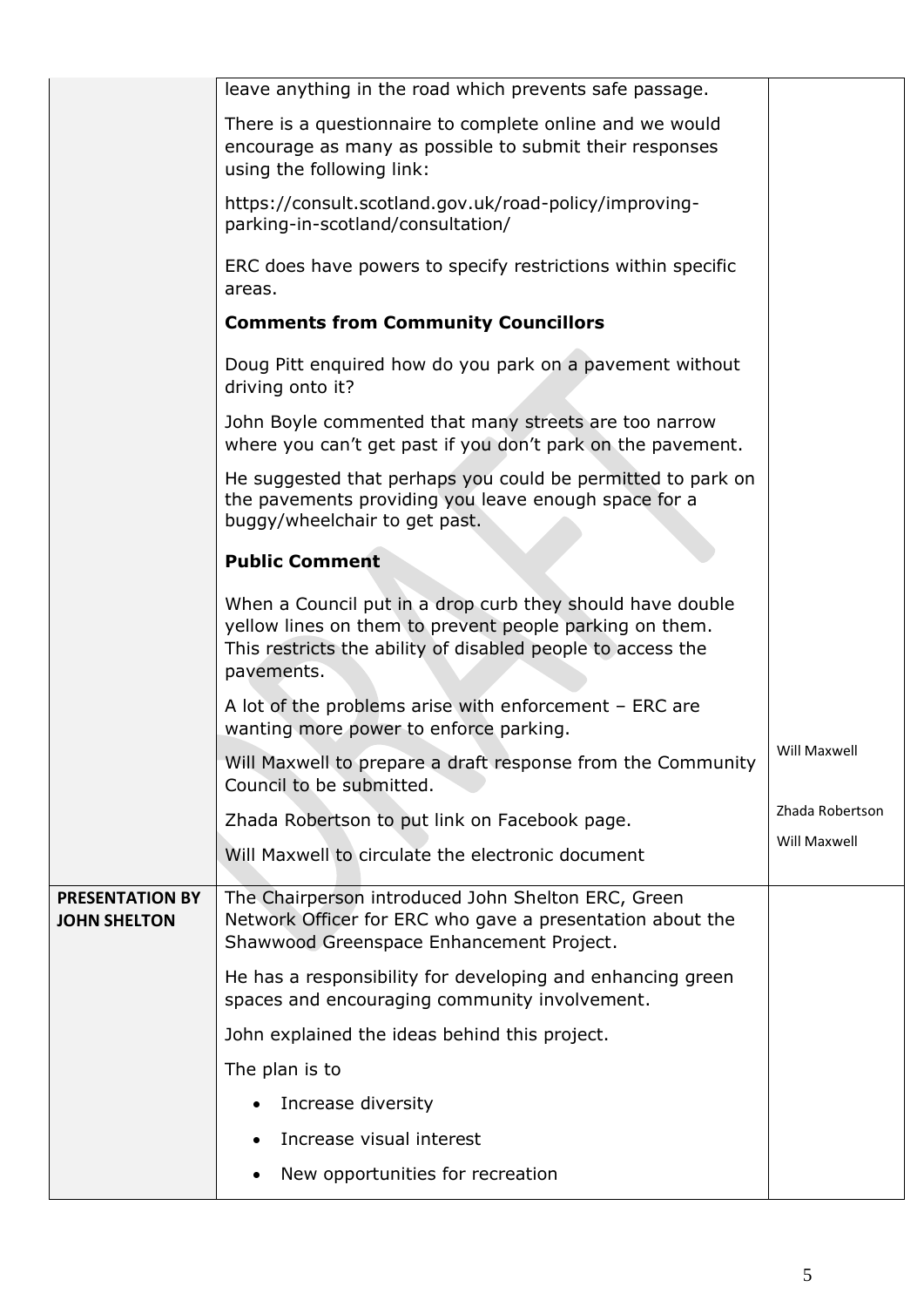|                                               | leave anything in the road which prevents safe passage.                                                                                                                                           |                 |
|-----------------------------------------------|---------------------------------------------------------------------------------------------------------------------------------------------------------------------------------------------------|-----------------|
|                                               | There is a questionnaire to complete online and we would<br>encourage as many as possible to submit their responses<br>using the following link:                                                  |                 |
|                                               | https://consult.scotland.gov.uk/road-policy/improving-<br>parking-in-scotland/consultation/                                                                                                       |                 |
|                                               | ERC does have powers to specify restrictions within specific<br>areas.                                                                                                                            |                 |
|                                               | <b>Comments from Community Councillors</b>                                                                                                                                                        |                 |
|                                               | Doug Pitt enquired how do you park on a pavement without<br>driving onto it?                                                                                                                      |                 |
|                                               | John Boyle commented that many streets are too narrow<br>where you can't get past if you don't park on the pavement.                                                                              |                 |
|                                               | He suggested that perhaps you could be permitted to park on<br>the pavements providing you leave enough space for a<br>buggy/wheelchair to get past.                                              |                 |
|                                               | <b>Public Comment</b>                                                                                                                                                                             |                 |
|                                               | When a Council put in a drop curb they should have double<br>yellow lines on them to prevent people parking on them.<br>This restricts the ability of disabled people to access the<br>pavements. |                 |
|                                               | A lot of the problems arise with enforcement $-$ ERC are<br>wanting more power to enforce parking.                                                                                                |                 |
|                                               | Will Maxwell to prepare a draft response from the Community<br>Council to be submitted.                                                                                                           | Will Maxwell    |
|                                               | Zhada Robertson to put link on Facebook page.                                                                                                                                                     | Zhada Robertson |
|                                               | Will Maxwell to circulate the electronic document                                                                                                                                                 | Will Maxwell    |
| <b>PRESENTATION BY</b><br><b>JOHN SHELTON</b> | The Chairperson introduced John Shelton ERC, Green<br>Network Officer for ERC who gave a presentation about the<br>Shawwood Greenspace Enhancement Project.                                       |                 |
|                                               | He has a responsibility for developing and enhancing green<br>spaces and encouraging community involvement.                                                                                       |                 |
|                                               | John explained the ideas behind this project.                                                                                                                                                     |                 |
|                                               | The plan is to                                                                                                                                                                                    |                 |
|                                               | Increase diversity                                                                                                                                                                                |                 |
|                                               | Increase visual interest                                                                                                                                                                          |                 |
|                                               | New opportunities for recreation<br>٠                                                                                                                                                             |                 |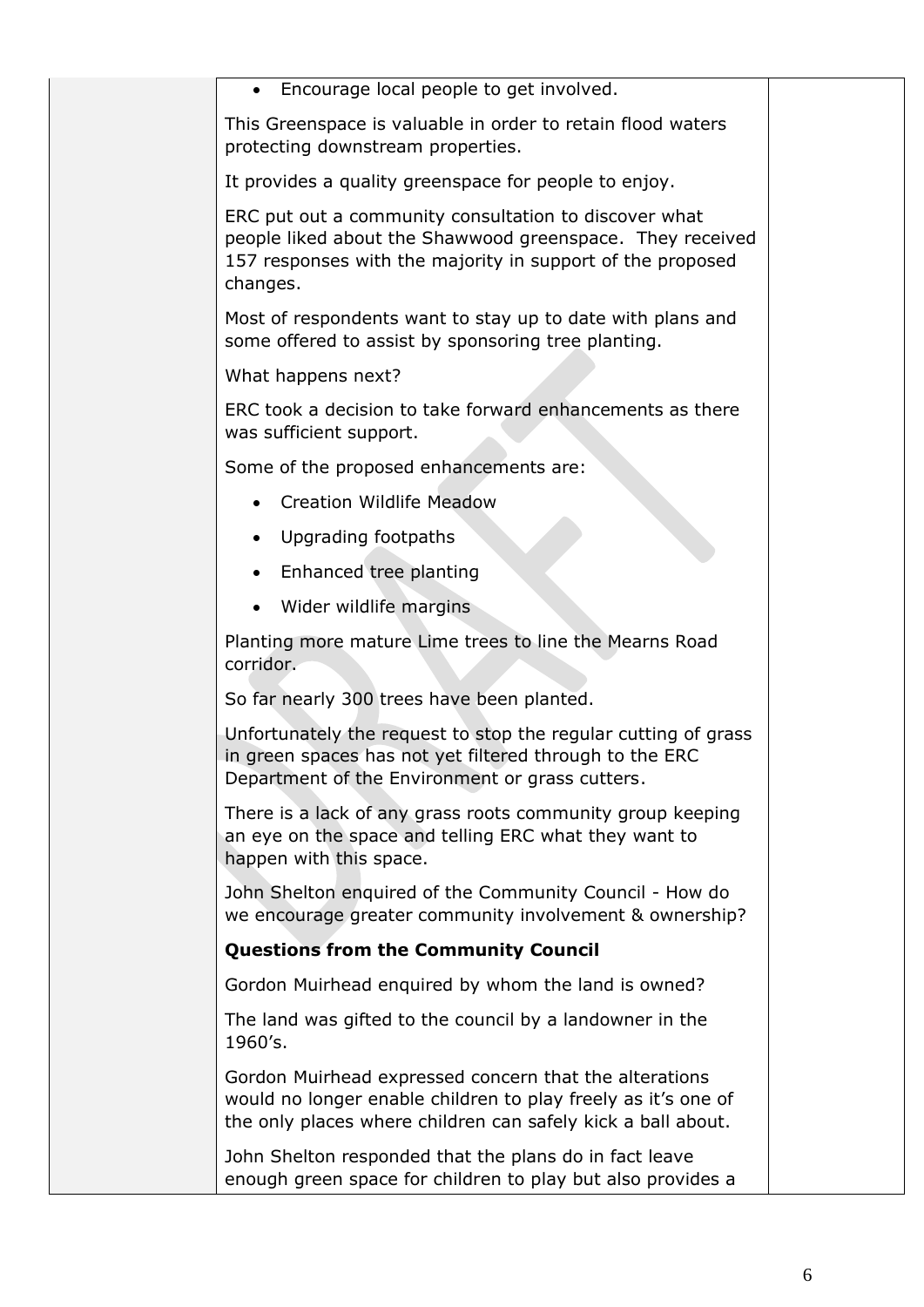| Encourage local people to get involved.<br>$\bullet$                                                                                                                                         |  |
|----------------------------------------------------------------------------------------------------------------------------------------------------------------------------------------------|--|
| This Greenspace is valuable in order to retain flood waters<br>protecting downstream properties.                                                                                             |  |
| It provides a quality greenspace for people to enjoy.                                                                                                                                        |  |
| ERC put out a community consultation to discover what<br>people liked about the Shawwood greenspace. They received<br>157 responses with the majority in support of the proposed<br>changes. |  |
| Most of respondents want to stay up to date with plans and<br>some offered to assist by sponsoring tree planting.                                                                            |  |
| What happens next?                                                                                                                                                                           |  |
| ERC took a decision to take forward enhancements as there<br>was sufficient support.                                                                                                         |  |
| Some of the proposed enhancements are:                                                                                                                                                       |  |
| <b>Creation Wildlife Meadow</b>                                                                                                                                                              |  |
| Upgrading footpaths                                                                                                                                                                          |  |
| Enhanced tree planting                                                                                                                                                                       |  |
| Wider wildlife margins<br>$\bullet$                                                                                                                                                          |  |
| Planting more mature Lime trees to line the Mearns Road<br>corridor.                                                                                                                         |  |
| So far nearly 300 trees have been planted.                                                                                                                                                   |  |
| Unfortunately the request to stop the regular cutting of grass<br>in green spaces has not yet filtered through to the ERC<br>Department of the Environment or grass cutters.                 |  |
| There is a lack of any grass roots community group keeping<br>an eye on the space and telling ERC what they want to<br>happen with this space.                                               |  |
| John Shelton enquired of the Community Council - How do<br>we encourage greater community involvement & ownership?                                                                           |  |
| <b>Questions from the Community Council</b>                                                                                                                                                  |  |
| Gordon Muirhead enquired by whom the land is owned?                                                                                                                                          |  |
| The land was gifted to the council by a landowner in the<br>1960's.                                                                                                                          |  |
| Gordon Muirhead expressed concern that the alterations<br>would no longer enable children to play freely as it's one of<br>the only places where children can safely kick a ball about.      |  |
| John Shelton responded that the plans do in fact leave<br>enough green space for children to play but also provides a                                                                        |  |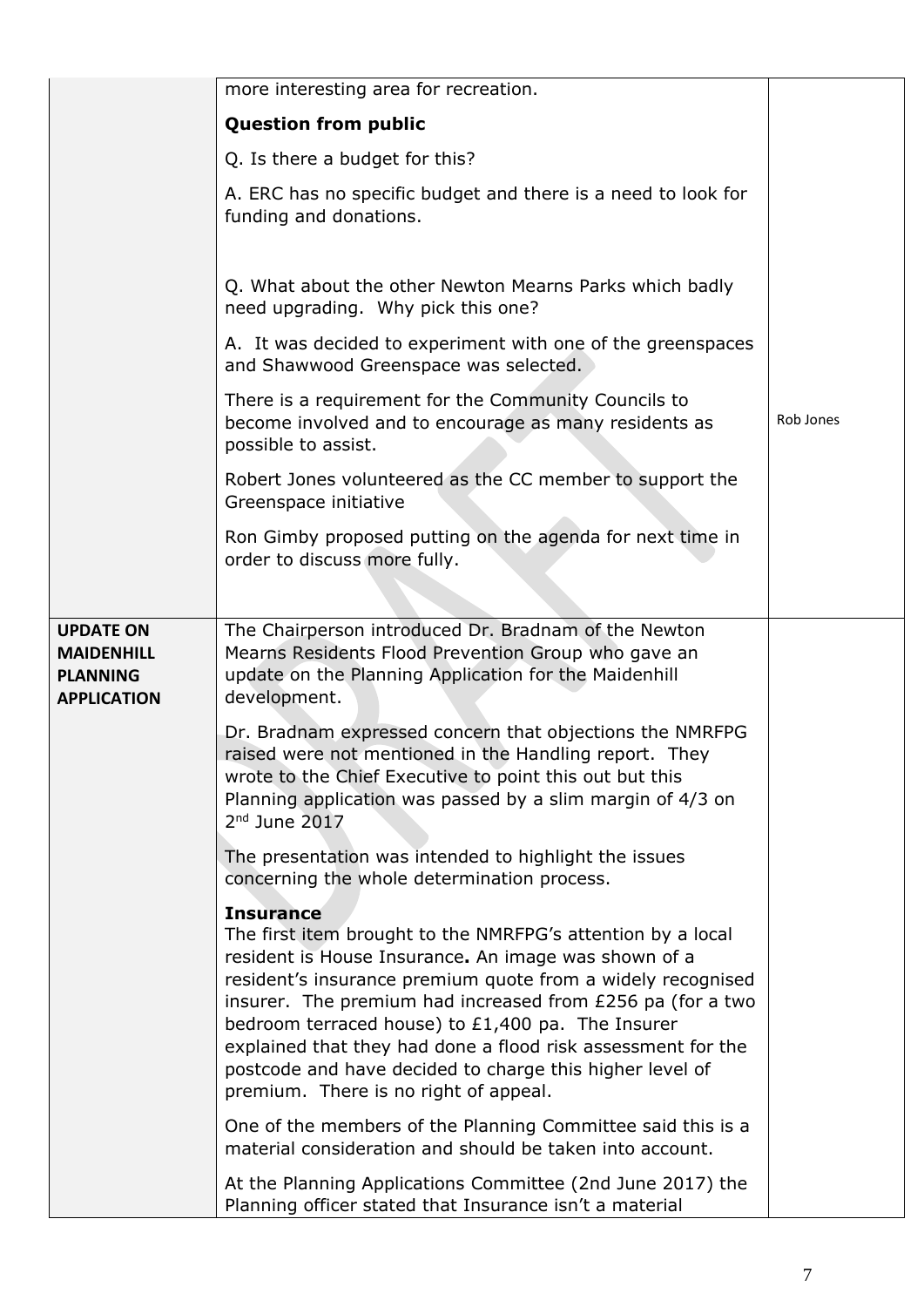|                                                                                | more interesting area for recreation.                                                                                                                                                                                                                                                                                                                                                                                                                                                          |           |
|--------------------------------------------------------------------------------|------------------------------------------------------------------------------------------------------------------------------------------------------------------------------------------------------------------------------------------------------------------------------------------------------------------------------------------------------------------------------------------------------------------------------------------------------------------------------------------------|-----------|
|                                                                                | <b>Question from public</b>                                                                                                                                                                                                                                                                                                                                                                                                                                                                    |           |
|                                                                                | Q. Is there a budget for this?                                                                                                                                                                                                                                                                                                                                                                                                                                                                 |           |
|                                                                                | A. ERC has no specific budget and there is a need to look for<br>funding and donations.                                                                                                                                                                                                                                                                                                                                                                                                        |           |
|                                                                                | Q. What about the other Newton Mearns Parks which badly<br>need upgrading. Why pick this one?                                                                                                                                                                                                                                                                                                                                                                                                  |           |
|                                                                                | A. It was decided to experiment with one of the greenspaces<br>and Shawwood Greenspace was selected.                                                                                                                                                                                                                                                                                                                                                                                           |           |
|                                                                                | There is a requirement for the Community Councils to<br>become involved and to encourage as many residents as<br>possible to assist.                                                                                                                                                                                                                                                                                                                                                           | Rob Jones |
|                                                                                | Robert Jones volunteered as the CC member to support the<br>Greenspace initiative                                                                                                                                                                                                                                                                                                                                                                                                              |           |
|                                                                                | Ron Gimby proposed putting on the agenda for next time in<br>order to discuss more fully.                                                                                                                                                                                                                                                                                                                                                                                                      |           |
| <b>UPDATE ON</b><br><b>MAIDENHILL</b><br><b>PLANNING</b><br><b>APPLICATION</b> | The Chairperson introduced Dr. Bradnam of the Newton<br>Mearns Residents Flood Prevention Group who gave an<br>update on the Planning Application for the Maidenhill<br>development.                                                                                                                                                                                                                                                                                                           |           |
|                                                                                | Dr. Bradnam expressed concern that objections the NMRFPG<br>raised were not mentioned in the Handling report. They<br>wrote to the Chief Executive to point this out but this<br>Planning application was passed by a slim margin of 4/3 on<br>$2nd$ June $2017$                                                                                                                                                                                                                               |           |
|                                                                                | The presentation was intended to highlight the issues<br>concerning the whole determination process.                                                                                                                                                                                                                                                                                                                                                                                           |           |
|                                                                                | <b>Insurance</b><br>The first item brought to the NMRFPG's attention by a local<br>resident is House Insurance. An image was shown of a<br>resident's insurance premium quote from a widely recognised<br>insurer. The premium had increased from £256 pa (for a two<br>bedroom terraced house) to £1,400 pa. The Insurer<br>explained that they had done a flood risk assessment for the<br>postcode and have decided to charge this higher level of<br>premium. There is no right of appeal. |           |
|                                                                                | One of the members of the Planning Committee said this is a<br>material consideration and should be taken into account.                                                                                                                                                                                                                                                                                                                                                                        |           |
|                                                                                | At the Planning Applications Committee (2nd June 2017) the<br>Planning officer stated that Insurance isn't a material                                                                                                                                                                                                                                                                                                                                                                          |           |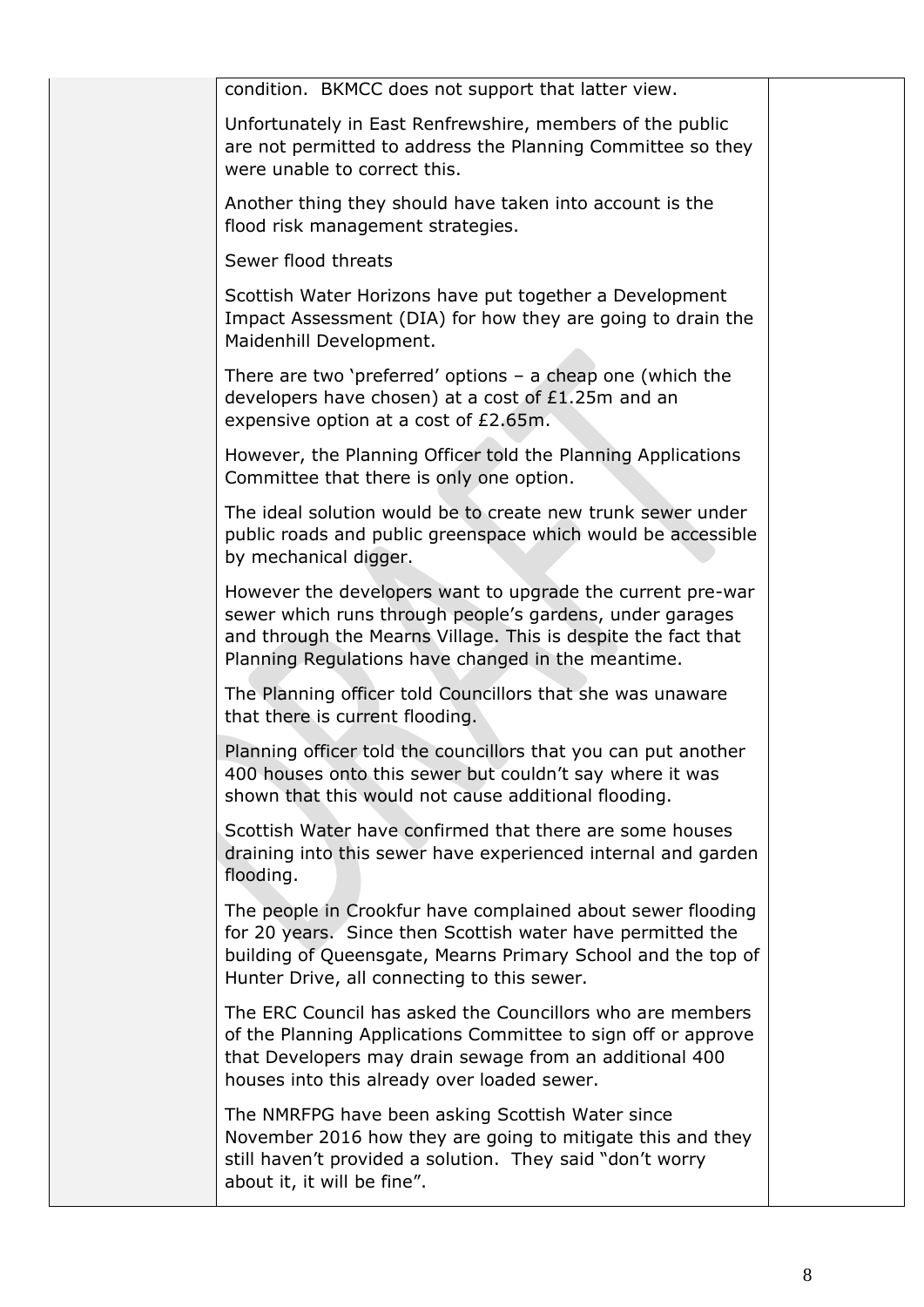| condition. BKMCC does not support that latter view.                                                                                                                                                                                           |  |
|-----------------------------------------------------------------------------------------------------------------------------------------------------------------------------------------------------------------------------------------------|--|
| Unfortunately in East Renfrewshire, members of the public<br>are not permitted to address the Planning Committee so they<br>were unable to correct this.                                                                                      |  |
| Another thing they should have taken into account is the<br>flood risk management strategies.                                                                                                                                                 |  |
| Sewer flood threats                                                                                                                                                                                                                           |  |
| Scottish Water Horizons have put together a Development<br>Impact Assessment (DIA) for how they are going to drain the<br>Maidenhill Development.                                                                                             |  |
| There are two 'preferred' options $-$ a cheap one (which the<br>developers have chosen) at a cost of £1.25m and an<br>expensive option at a cost of £2.65m.                                                                                   |  |
| However, the Planning Officer told the Planning Applications<br>Committee that there is only one option.                                                                                                                                      |  |
| The ideal solution would be to create new trunk sewer under<br>public roads and public greenspace which would be accessible<br>by mechanical digger.                                                                                          |  |
| However the developers want to upgrade the current pre-war<br>sewer which runs through people's gardens, under garages<br>and through the Mearns Village. This is despite the fact that<br>Planning Regulations have changed in the meantime. |  |
| The Planning officer told Councillors that she was unaware<br>that there is current flooding.                                                                                                                                                 |  |
| Planning officer told the councillors that you can put another<br>400 houses onto this sewer but couldn't say where it was<br>shown that this would not cause additional flooding.                                                            |  |
| Scottish Water have confirmed that there are some houses<br>draining into this sewer have experienced internal and garden<br>flooding.                                                                                                        |  |
| The people in Crookfur have complained about sewer flooding<br>for 20 years. Since then Scottish water have permitted the<br>building of Queensgate, Mearns Primary School and the top of<br>Hunter Drive, all connecting to this sewer.      |  |
| The ERC Council has asked the Councillors who are members<br>of the Planning Applications Committee to sign off or approve<br>that Developers may drain sewage from an additional 400<br>houses into this already over loaded sewer.          |  |
| The NMRFPG have been asking Scottish Water since<br>November 2016 how they are going to mitigate this and they<br>still haven't provided a solution. They said "don't worry<br>about it, it will be fine".                                    |  |
|                                                                                                                                                                                                                                               |  |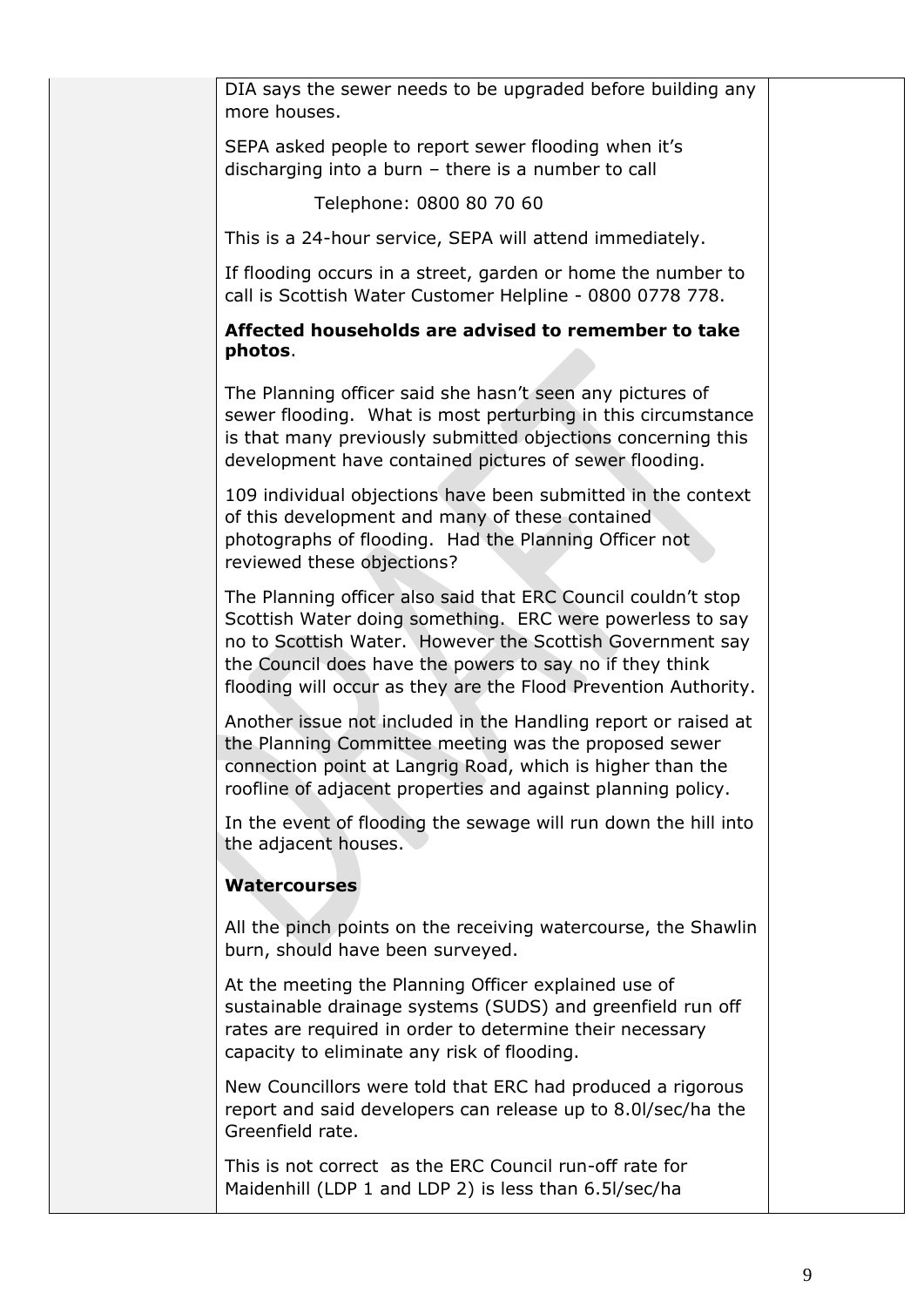| DIA says the sewer needs to be upgraded before building any<br>more houses.                                                                                                                                                                                                                                            |  |
|------------------------------------------------------------------------------------------------------------------------------------------------------------------------------------------------------------------------------------------------------------------------------------------------------------------------|--|
| SEPA asked people to report sewer flooding when it's<br>discharging into a burn - there is a number to call                                                                                                                                                                                                            |  |
| Telephone: 0800 80 70 60                                                                                                                                                                                                                                                                                               |  |
| This is a 24-hour service, SEPA will attend immediately.                                                                                                                                                                                                                                                               |  |
| If flooding occurs in a street, garden or home the number to<br>call is Scottish Water Customer Helpline - 0800 0778 778.                                                                                                                                                                                              |  |
| Affected households are advised to remember to take<br>photos.                                                                                                                                                                                                                                                         |  |
| The Planning officer said she hasn't seen any pictures of<br>sewer flooding. What is most perturbing in this circumstance<br>is that many previously submitted objections concerning this<br>development have contained pictures of sewer flooding.                                                                    |  |
| 109 individual objections have been submitted in the context<br>of this development and many of these contained<br>photographs of flooding. Had the Planning Officer not<br>reviewed these objections?                                                                                                                 |  |
| The Planning officer also said that ERC Council couldn't stop<br>Scottish Water doing something. ERC were powerless to say<br>no to Scottish Water. However the Scottish Government say<br>the Council does have the powers to say no if they think<br>flooding will occur as they are the Flood Prevention Authority. |  |
| Another issue not included in the Handling report or raised at<br>the Planning Committee meeting was the proposed sewer<br>connection point at Langrig Road, which is higher than the<br>roofline of adjacent properties and against planning policy.                                                                  |  |
| In the event of flooding the sewage will run down the hill into<br>the adjacent houses.                                                                                                                                                                                                                                |  |
| <b>Watercourses</b>                                                                                                                                                                                                                                                                                                    |  |
| All the pinch points on the receiving watercourse, the Shawlin<br>burn, should have been surveyed.                                                                                                                                                                                                                     |  |
| At the meeting the Planning Officer explained use of<br>sustainable drainage systems (SUDS) and greenfield run off<br>rates are required in order to determine their necessary<br>capacity to eliminate any risk of flooding.                                                                                          |  |
| New Councillors were told that ERC had produced a rigorous<br>report and said developers can release up to 8.0I/sec/ha the<br>Greenfield rate.                                                                                                                                                                         |  |
| This is not correct as the ERC Council run-off rate for<br>Maidenhill (LDP 1 and LDP 2) is less than 6.5I/sec/ha                                                                                                                                                                                                       |  |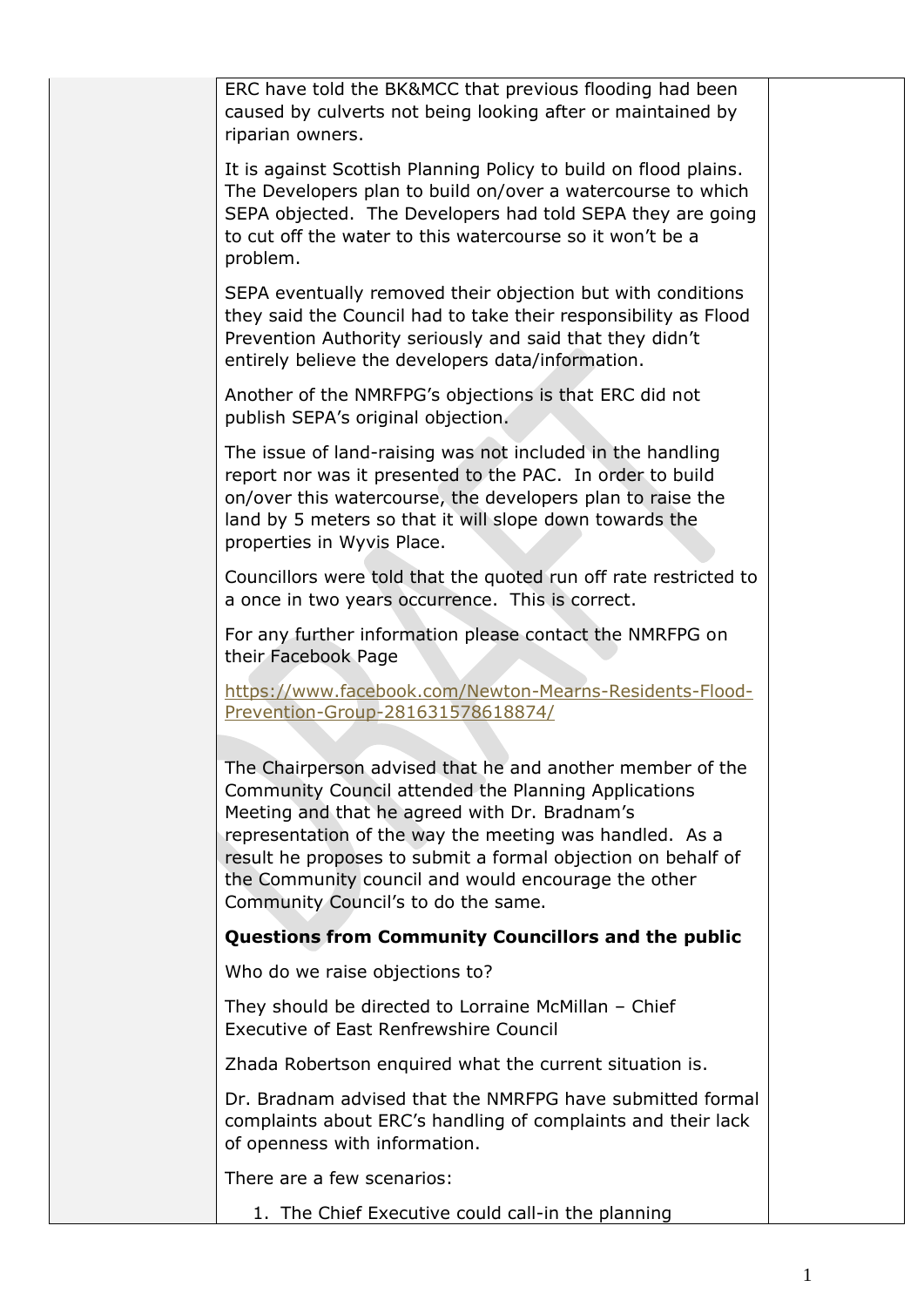| ERC have told the BK&MCC that previous flooding had been<br>caused by culverts not being looking after or maintained by<br>riparian owners.                                                                                                                                                                                                                                                 |  |
|---------------------------------------------------------------------------------------------------------------------------------------------------------------------------------------------------------------------------------------------------------------------------------------------------------------------------------------------------------------------------------------------|--|
| It is against Scottish Planning Policy to build on flood plains.<br>The Developers plan to build on/over a watercourse to which<br>SEPA objected. The Developers had told SEPA they are going<br>to cut off the water to this watercourse so it won't be a<br>problem.                                                                                                                      |  |
| SEPA eventually removed their objection but with conditions<br>they said the Council had to take their responsibility as Flood<br>Prevention Authority seriously and said that they didn't<br>entirely believe the developers data/information.                                                                                                                                             |  |
| Another of the NMRFPG's objections is that ERC did not<br>publish SEPA's original objection.                                                                                                                                                                                                                                                                                                |  |
| The issue of land-raising was not included in the handling<br>report nor was it presented to the PAC. In order to build<br>on/over this watercourse, the developers plan to raise the<br>land by 5 meters so that it will slope down towards the<br>properties in Wyvis Place.                                                                                                              |  |
| Councillors were told that the quoted run off rate restricted to<br>a once in two years occurrence. This is correct.                                                                                                                                                                                                                                                                        |  |
| For any further information please contact the NMRFPG on<br>their Facebook Page                                                                                                                                                                                                                                                                                                             |  |
| https://www.facebook.com/Newton-Mearns-Residents-Flood-<br>Prevention-Group-281631578618874/                                                                                                                                                                                                                                                                                                |  |
| The Chairperson advised that he and another member of the<br>Community Council attended the Planning Applications<br>Meeting and that he agreed with Dr. Bradnam's<br>representation of the way the meeting was handled. As a<br>result he proposes to submit a formal objection on behalf of<br>the Community council and would encourage the other<br>Community Council's to do the same. |  |
| <b>Questions from Community Councillors and the public</b>                                                                                                                                                                                                                                                                                                                                  |  |
| Who do we raise objections to?                                                                                                                                                                                                                                                                                                                                                              |  |
| They should be directed to Lorraine McMillan - Chief<br>Executive of East Renfrewshire Council                                                                                                                                                                                                                                                                                              |  |
| Zhada Robertson enquired what the current situation is.                                                                                                                                                                                                                                                                                                                                     |  |
| Dr. Bradnam advised that the NMRFPG have submitted formal<br>complaints about ERC's handling of complaints and their lack<br>of openness with information.                                                                                                                                                                                                                                  |  |
| There are a few scenarios:                                                                                                                                                                                                                                                                                                                                                                  |  |
| 1. The Chief Executive could call-in the planning                                                                                                                                                                                                                                                                                                                                           |  |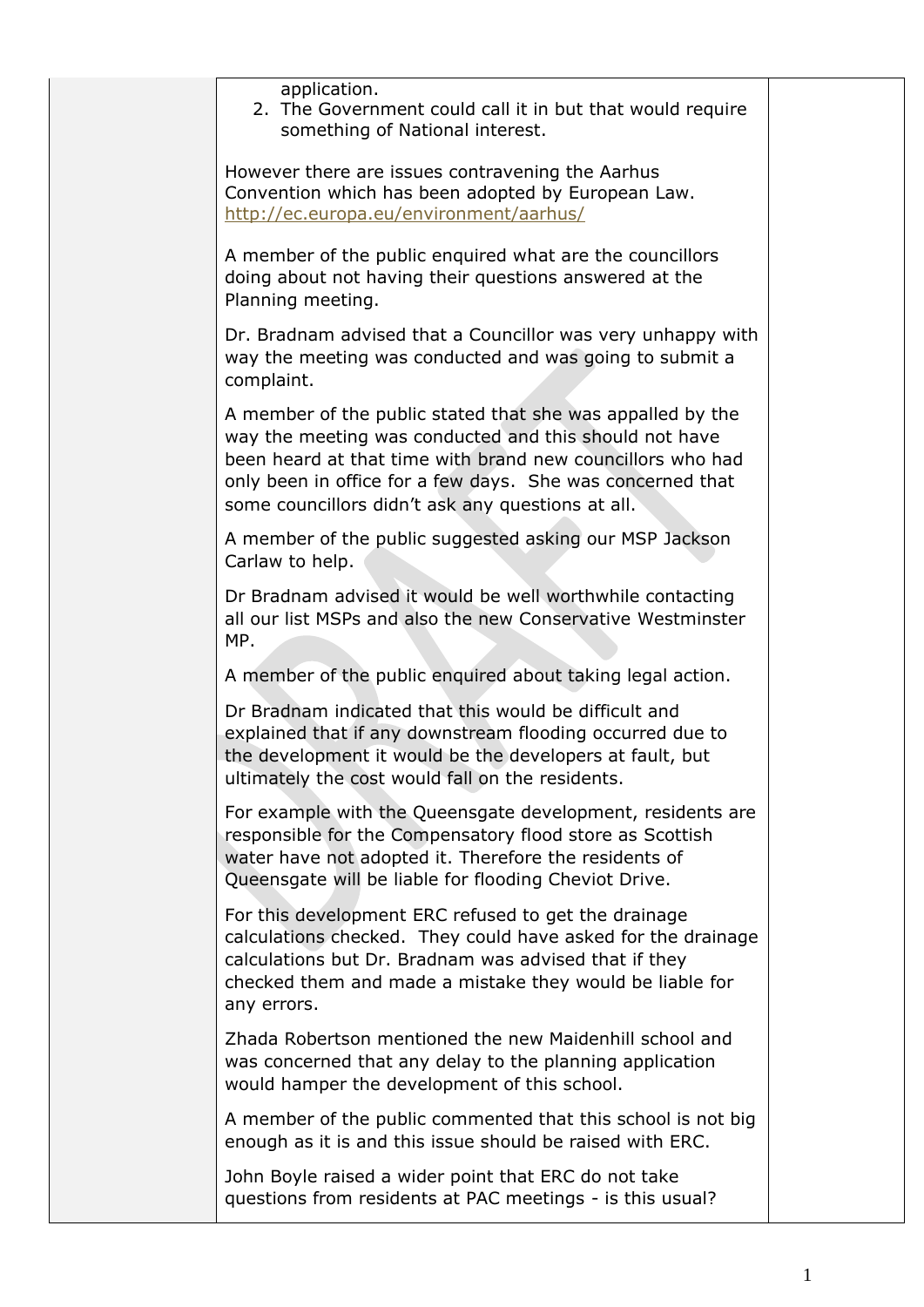| application.<br>2. The Government could call it in but that would require<br>something of National interest.                                                                                                                                                                                          |  |
|-------------------------------------------------------------------------------------------------------------------------------------------------------------------------------------------------------------------------------------------------------------------------------------------------------|--|
| However there are issues contravening the Aarhus<br>Convention which has been adopted by European Law.<br>http://ec.europa.eu/environment/aarhus/                                                                                                                                                     |  |
| A member of the public enquired what are the councillors<br>doing about not having their questions answered at the<br>Planning meeting.                                                                                                                                                               |  |
| Dr. Bradnam advised that a Councillor was very unhappy with<br>way the meeting was conducted and was going to submit a<br>complaint.                                                                                                                                                                  |  |
| A member of the public stated that she was appalled by the<br>way the meeting was conducted and this should not have<br>been heard at that time with brand new councillors who had<br>only been in office for a few days. She was concerned that<br>some councillors didn't ask any questions at all. |  |
| A member of the public suggested asking our MSP Jackson<br>Carlaw to help.                                                                                                                                                                                                                            |  |
| Dr Bradnam advised it would be well worthwhile contacting<br>all our list MSPs and also the new Conservative Westminster<br>MP.                                                                                                                                                                       |  |
| A member of the public enquired about taking legal action.                                                                                                                                                                                                                                            |  |
| Dr Bradnam indicated that this would be difficult and<br>explained that if any downstream flooding occurred due to<br>the development it would be the developers at fault, but<br>ultimately the cost would fall on the residents.                                                                    |  |
| For example with the Queensgate development, residents are<br>responsible for the Compensatory flood store as Scottish<br>water have not adopted it. Therefore the residents of<br>Queensgate will be liable for flooding Cheviot Drive.                                                              |  |
| For this development ERC refused to get the drainage<br>calculations checked. They could have asked for the drainage<br>calculations but Dr. Bradnam was advised that if they<br>checked them and made a mistake they would be liable for<br>any errors.                                              |  |
| Zhada Robertson mentioned the new Maidenhill school and<br>was concerned that any delay to the planning application<br>would hamper the development of this school.                                                                                                                                   |  |
| A member of the public commented that this school is not big<br>enough as it is and this issue should be raised with ERC.                                                                                                                                                                             |  |
| John Boyle raised a wider point that ERC do not take<br>questions from residents at PAC meetings - is this usual?                                                                                                                                                                                     |  |
|                                                                                                                                                                                                                                                                                                       |  |